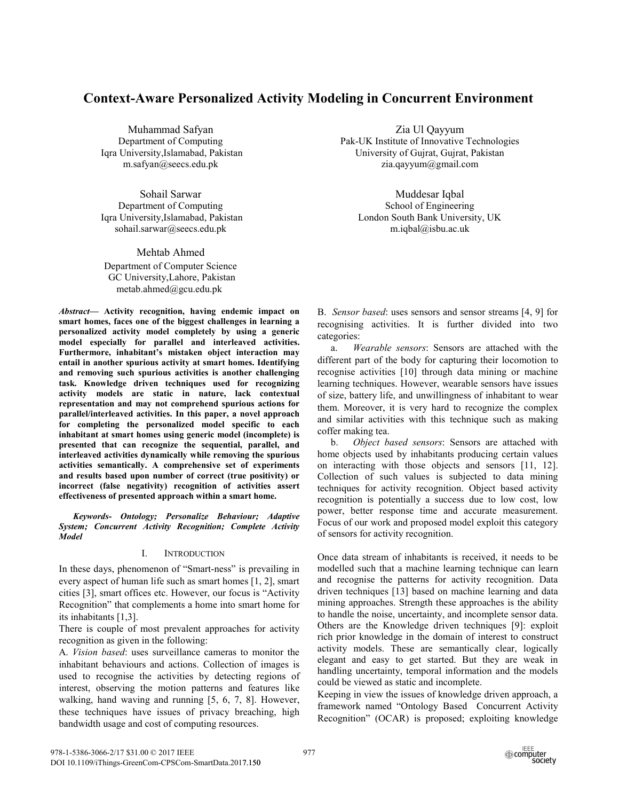# **Context-Aware Personalized Activity Modeling in Concurrent Environment**

Muhammad Safyan Department of Computing Iqra University,Islamabad, Pakistan m.safyan@seecs.edu.pk

Sohail Sarwar Department of Computing Iqra University,Islamabad, Pakistan sohail.sarwar@seecs.edu.pk

Mehtab Ahmed

Department of Computer Science GC University,Lahore, Pakistan metab.ahmed@gcu.edu.pk.

*Abstract***— Activity recognition, having endemic impact on smart homes, faces one of the biggest challenges in learning a personalized activity model completely by using a generic model especially for parallel and interleaved activities. Furthermore, inhabitant's mistaken object interaction may entail in another spurious activity at smart homes. Identifying and removing such spurious activities is another challenging task. Knowledge driven techniques used for recognizing activity models are static in nature, lack contextual representation and may not comprehend spurious actions for parallel/interleaved activities. In this paper, a novel approach for completing the personalized model specific to each inhabitant at smart homes using generic model (incomplete) is presented that can recognize the sequential, parallel, and interleaved activities dynamically while removing the spurious activities semantically. A comprehensive set of experiments and results based upon number of correct (true positivity) or incorrect (false negativity) recognition of activities assert effectiveness of presented approach within a smart home.** 

*Keywords- Ontology; Personalize Behaviour; Adaptive System; Concurrent Activity Recognition; Complete Activity Model* 

## I. INTRODUCTION

In these days, phenomenon of "Smart-ness" is prevailing in every aspect of human life such as smart homes [1, 2], smart cities [3], smart offices etc. However, our focus is "Activity Recognition" that complements a home into smart home for its inhabitants [1,3].

There is couple of most prevalent approaches for activity recognition as given in the following:

A. *Vision based*: uses surveillance cameras to monitor the inhabitant behaviours and actions. Collection of images is used to recognise the activities by detecting regions of interest, observing the motion patterns and features like walking, hand waving and running [5, 6, 7, 8]. However, these techniques have issues of privacy breaching, high bandwidth usage and cost of computing resources.

Zia Ul Qayyum Pak-UK Institute of Innovative Technologies University of Gujrat, Gujrat, Pakistan zia.qayyum@gmail.com

Muddesar Iqbal School of Engineering London South Bank University, UK m.iqbal@isbu.ac.uk

B. *Sensor based*: uses sensors and sensor streams [4, 9] for recognising activities. It is further divided into two categories:

a. *Wearable sensors*: Sensors are attached with the different part of the body for capturing their locomotion to recognise activities [10] through data mining or machine learning techniques. However, wearable sensors have issues of size, battery life, and unwillingness of inhabitant to wear them. Moreover, it is very hard to recognize the complex and similar activities with this technique such as making coffer making tea.

b. *Object based sensors*: Sensors are attached with home objects used by inhabitants producing certain values on interacting with those objects and sensors [11, 12]. Collection of such values is subjected to data mining techniques for activity recognition. Object based activity recognition is potentially a success due to low cost, low power, better response time and accurate measurement. Focus of our work and proposed model exploit this category of sensors for activity recognition.

Once data stream of inhabitants is received, it needs to be modelled such that a machine learning technique can learn and recognise the patterns for activity recognition. Data driven techniques [13] based on machine learning and data mining approaches. Strength these approaches is the ability to handle the noise, uncertainty, and incomplete sensor data. Others are the Knowledge driven techniques [9]: exploit rich prior knowledge in the domain of interest to construct activity models. These are semantically clear, logically elegant and easy to get started. But they are weak in handling uncertainty, temporal information and the models could be viewed as static and incomplete.

Keeping in view the issues of knowledge driven approach, a framework named "Ontology Based Concurrent Activity Recognition" (OCAR) is proposed; exploiting knowledge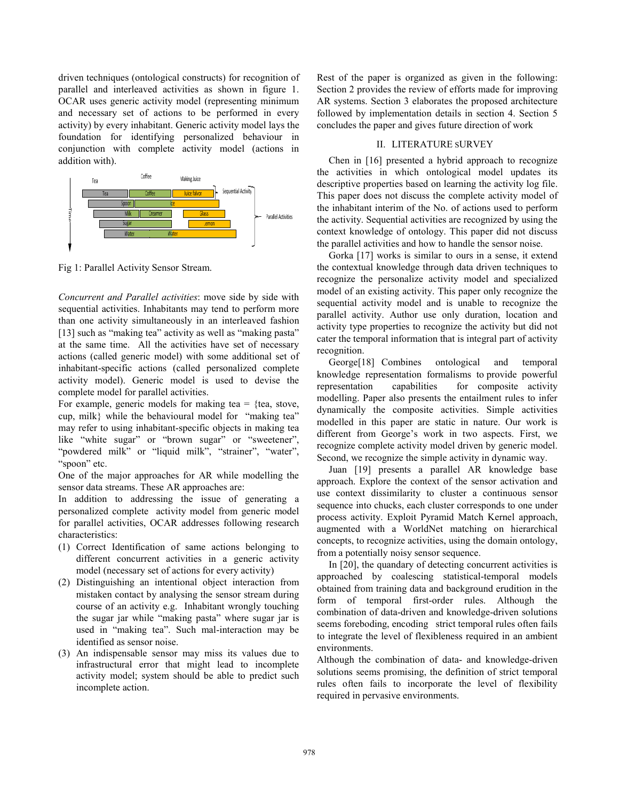driven techniques (ontological constructs) for recognition of parallel and interleaved activities as shown in figure 1. OCAR uses generic activity model (representing minimum and necessary set of actions to be performed in every activity) by every inhabitant. Generic activity model lays the foundation for identifying personalized behaviour in conjunction with complete activity model (actions in addition with).



Fig 1: Parallel Activity Sensor Stream.

*Concurrent and Parallel activities*: move side by side with sequential activities. Inhabitants may tend to perform more than one activity simultaneously in an interleaved fashion [13] such as "making tea" activity as well as "making pasta" at the same time. All the activities have set of necessary actions (called generic model) with some additional set of inhabitant-specific actions (called personalized complete activity model). Generic model is used to devise the complete model for parallel activities.

For example, generic models for making tea  $=$  {tea, stove, cup, milk} while the behavioural model for "making tea" may refer to using inhabitant-specific objects in making tea like "white sugar" or "brown sugar" or "sweetener", "powdered milk" or "liquid milk", "strainer", "water", "spoon" etc.

One of the major approaches for AR while modelling the sensor data streams. These AR approaches are:

In addition to addressing the issue of generating a personalized complete activity model from generic model for parallel activities, OCAR addresses following research characteristics:

- (1) Correct Identification of same actions belonging to different concurrent activities in a generic activity model (necessary set of actions for every activity)
- (2) Distinguishing an intentional object interaction from mistaken contact by analysing the sensor stream during course of an activity e.g. Inhabitant wrongly touching the sugar jar while "making pasta" where sugar jar is used in "making tea". Such mal-interaction may be identified as sensor noise.
- (3) An indispensable sensor may miss its values due to infrastructural error that might lead to incomplete activity model; system should be able to predict such incomplete action.

Rest of the paper is organized as given in the following: Section 2 provides the review of efforts made for improving AR systems. Section 3 elaborates the proposed architecture followed by implementation details in section 4. Section 5 concludes the paper and gives future direction of work

# II. LITERATURE SURVEY

Chen in [16] presented a hybrid approach to recognize the activities in which ontological model updates its descriptive properties based on learning the activity log file. This paper does not discuss the complete activity model of the inhabitant interim of the No. of actions used to perform the activity. Sequential activities are recognized by using the context knowledge of ontology. This paper did not discuss the parallel activities and how to handle the sensor noise.

Gorka [17] works is similar to ours in a sense, it extend the contextual knowledge through data driven techniques to recognize the personalize activity model and specialized model of an existing activity. This paper only recognize the sequential activity model and is unable to recognize the parallel activity. Author use only duration, location and activity type properties to recognize the activity but did not cater the temporal information that is integral part of activity recognition.

George[18] Combines ontological and temporal knowledge representation formalisms to provide powerful representation capabilities for composite activity modelling. Paper also presents the entailment rules to infer dynamically the composite activities. Simple activities modelled in this paper are static in nature. Our work is different from George's work in two aspects. First, we recognize complete activity model driven by generic model. Second, we recognize the simple activity in dynamic way.

Juan [19] presents a parallel AR knowledge base approach. Explore the context of the sensor activation and use context dissimilarity to cluster a continuous sensor sequence into chucks, each cluster corresponds to one under process activity. Exploit Pyramid Match Kernel approach, augmented with a WorldNet matching on hierarchical concepts, to recognize activities, using the domain ontology, from a potentially noisy sensor sequence.

In [20], the quandary of detecting concurrent activities is approached by coalescing statistical-temporal models obtained from training data and background erudition in the form of temporal first-order rules. Although the combination of data-driven and knowledge-driven solutions seems foreboding, encoding strict temporal rules often fails to integrate the level of flexibleness required in an ambient environments.

Although the combination of data- and knowledge-driven solutions seems promising, the definition of strict temporal rules often fails to incorporate the level of flexibility required in pervasive environments.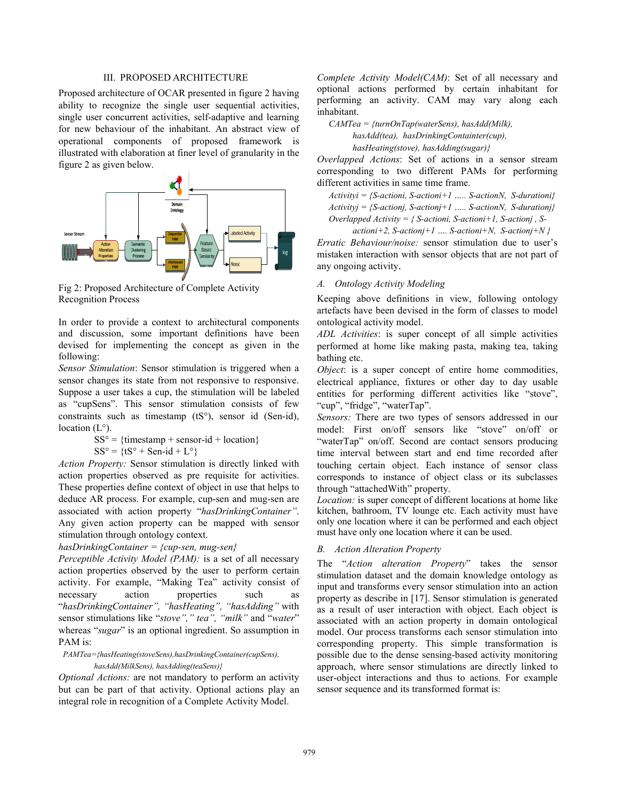#### III. PROPOSED ARCHITECTURE

Proposed architecture of OCAR presented in figure 2 having ability to recognize the single user sequential activities, single user concurrent activities, self-adaptive and learning for new behaviour of the inhabitant. An abstract view of operational components of proposed framework is illustrated with elaboration at finer level of granularity in the figure 2 as given below.



Fig 2: Proposed Architecture of Complete Activity Recognition Process

In order to provide a context to architectural components and discussion, some important definitions have been devised for implementing the concept as given in the following:

*Sensor Stimulation*: Sensor stimulation is triggered when a sensor changes its state from not responsive to responsive. Suppose a user takes a cup, the stimulation will be labeled as "cupSens". This sensor stimulation consists of few constraints such as timestamp (tS°), sensor id (Sen-id), location  $(L^{\circ})$ .

> $SS^{\circ} = {\text{timestamp} + \text{sensor-id} + \text{location}}$  $SS^{\circ} = \{tS^{\circ} + Sen - id + L^{\circ}\}$

*Action Property:* Sensor stimulation is directly linked with action properties observed as pre requisite for activities. These properties define context of object in use that helps to deduce AR process. For example, cup-sen and mug-sen are associated with action property "*hasDrinkingContainer"*. Any given action property can be mapped with sensor stimulation through ontology context.

# *hasDrinkingContainer = {cup-sen, mug-sen}*

*Perceptible Activity Model (PAM):* is a set of all necessary action properties observed by the user to perform certain activity. For example, "Making Tea" activity consist of necessary action properties such as "*hasDrinkingContainer", "hasHeating", "hasAdding"* with sensor stimulations like "*stove"," tea", "milk"* and "*water*" whereas "*sugar*" is an optional ingredient. So assumption in PAM is:

*PAMTea={hasHeating(stoveSens),hasDrinkingContainer(cupSens), hasAdd(MilkSens), hasAdding(teaSens)}* 

*Optional Actions:* are not mandatory to perform an activity but can be part of that activity. Optional actions play an integral role in recognition of a Complete Activity Model.

*Complete Activity Model(CAM)*: Set of all necessary and optional actions performed by certain inhabitant for performing an activity. CAM may vary along each inhabitant.

*CAMTea = {turnOnTap(waterSens), hasAdd(Milk), hasAdd(tea), hasDrinkingContainter(cup), hasHeating(stove), hasAdding(sugar)}* 

*Overlapped Actions*: Set of actions in a sensor stream corresponding to two different PAMs for performing different activities in same time frame.

*Activityi = {S-actioni, S-actioni+1 ….. S-actionN, S-durationi} Activityj = {S-actionj, S-actionj+1 ….. S-actionN, S-durationj} Overlapped Activity = { S-actioni, S-actioni+1, S-actionj , S-*

*actioni+2, S-actionj+1 …. S-actioni+N, S-actionj+N } Erratic Behaviour/noise:* sensor stimulation due to user's mistaken interaction with sensor objects that are not part of any ongoing activity.

# *A. Ontology Activity Modeling*

Keeping above definitions in view, following ontology artefacts have been devised in the form of classes to model ontological activity model.

*ADL Activities*: is super concept of all simple activities performed at home like making pasta, making tea, taking bathing etc.

*Object*: is a super concept of entire home commodities, electrical appliance, fixtures or other day to day usable entities for performing different activities like "stove", "cup", "fridge", "waterTap".

*Sensors:* There are two types of sensors addressed in our model: First on/off sensors like "stove" on/off or "waterTap" on/off. Second are contact sensors producing time interval between start and end time recorded after touching certain object. Each instance of sensor class corresponds to instance of object class or its subclasses through "attachedWith" property.

*Location:* is super concept of different locations at home like kitchen, bathroom, TV lounge etc. Each activity must have only one location where it can be performed and each object must have only one location where it can be used.

#### *B. Action Alteration Property*

The "*Action alteration Property*" takes the sensor stimulation dataset and the domain knowledge ontology as input and transforms every sensor stimulation into an action property as describe in [17]. Sensor stimulation is generated as a result of user interaction with object. Each object is associated with an action property in domain ontological model. Our process transforms each sensor stimulation into corresponding property. This simple transformation is possible due to the dense sensing-based activity monitoring approach, where sensor stimulations are directly linked to user-object interactions and thus to actions. For example sensor sequence and its transformed format is: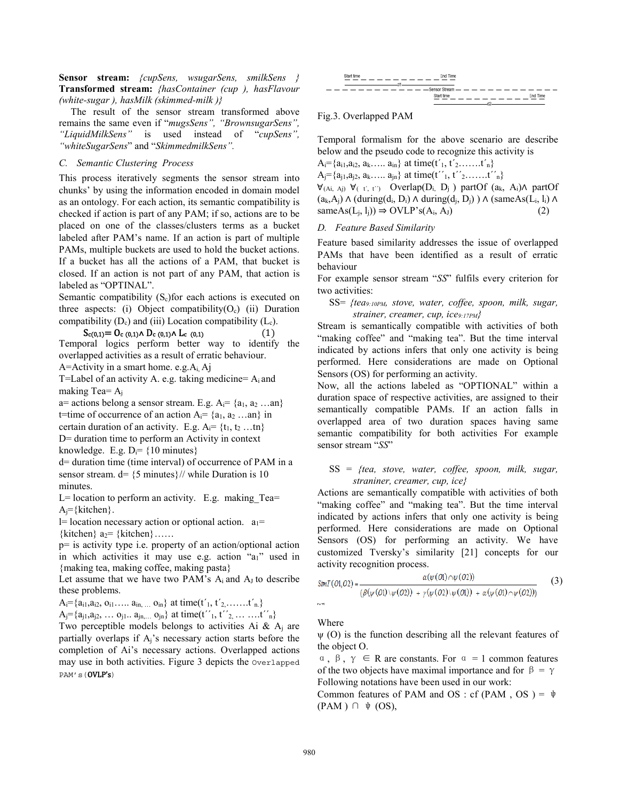**Sensor stream:** *{cupSens, wsugarSens, smilkSens }*  **Transformed stream:** *{hasContainer (cup ), hasFlavour (white-sugar ), hasMilk (skimmed-milk )}*

The result of the sensor stream transformed above remains the same even if "*mugsSens", "BrownsugarSens", "LiquidMilkSens"* is used instead of "*cupSens", "whiteSugarSens*" and "*SkimmedmilkSens".*

## *C. Semantic Clustering Process*

This process iteratively segments the sensor stream into chunks' by using the information encoded in domain model as an ontology. For each action, its semantic compatibility is checked if action is part of any PAM; if so, actions are to be placed on one of the classes/clusters terms as a bucket labeled after PAM's name. If an action is part of multiple PAMs, multiple buckets are used to hold the bucket actions. If a bucket has all the actions of a PAM, that bucket is closed. If an action is not part of any PAM, that action is labeled as "OPTINAL".

Semantic compatibility  $(S_c)$  for each actions is executed on three aspects: (i) Object compatibility( $O_c$ ) (ii) Duration compatibility  $(D_c)$  and (iii) Location compatibility  $(L_c)$ .

## $S_{c(0,1)} = O_{c(0,1)} \wedge D_{c(0,1)} \wedge L_{c(0,1)}$  (1)

Temporal logics perform better way to identify the overlapped activities as a result of erratic behaviour.

A=Activity in a smart home. e.g.Ai, Aj

T=Label of an activity A. e.g. taking medicine=  $A_i$  and making Tea= $A_i$ 

a= actions belong a sensor stream. E.g.  $A_i = \{a_1, a_2 ... a_n\}$ t=time of occurrence of an action  $A_i = \{a_1, a_2 \dots an\}$  in certain duration of an activity. E.g.  $A_i = \{t_1, t_2 ... t_n\}$ D= duration time to perform an Activity in context knowledge. E.g.  $D_i = \{10 \text{ minutes}\}\$ 

d= duration time (time interval) of occurrence of PAM in a sensor stream.  $d=$  {5 minutes}// while Duration is 10 minutes.

 $L=$  location to perform an activity. E.g. making Tea=  $A_i = \{kitchen\}$ .

l= location necessary action or optional action.  $a_1=$ {kitchen}  $a_2$ = {kitchen} .....

p= is activity type i.e. property of an action/optional action in which activities it may use e.g. action "a<sub>1</sub>" used in {making tea, making coffee, making pasta}

Let assume that we have two PAM's  $A_i$  and  $A_J$  to describe these problems.

 $A_i = \{a_{i1}, a_{i2}, o_{i1}, \ldots, a_{in,} \ldots, o_{in}\}\$ at time(t'<sub>1</sub>, t'<sub>2,</sub>.......t'<sub>n.</sub>}

 $A_j = \{a_{j1}, a_{j2}, \ldots, a_{j1} \ldots a_{jn}, a_{jn} \}$  at time(t''<sub>1</sub>, t''<sub>2</sub>, ... ... .t''<sub>n</sub> $\}$ 

Two perceptible models belongs to activities Ai  $\&$  A<sub>i</sub> are partially overlaps if Aj's necessary action starts before the completion of Ai's necessary actions. Overlapped actions may use in both activities. Figure 3 depicts the Overlapped PAM's(OVLP's)



## Fig.3. Overlapped PAM

Temporal formalism for the above scenario are describe below and the pseudo code to recognize this activity is

 $A_i = \{a_{i1}, a_{i2}, a_k, \ldots, a_{in}\}\$ at time(t'<sub>1</sub>, t'<sub>2</sub>.......t'<sub>n</sub>}  $A_j = \{a_{j1}, a_{j2}, a_k, \ldots, a_{jn}\}\$ at time(t''<sub>1</sub>, t''<sub>2</sub>.......t''<sub>n</sub>}  $\forall_{(Ai, A_i)} \forall_{(\tau', \tau')}$  Overlap(D<sub>i,</sub> D<sub>i</sub>) partOf (a<sub>k</sub>, A<sub>i</sub>) $\land$  partOf  $(a_k, A_j) \wedge (during(d_i, D_i) \wedge during(d_j, D_j)) \wedge (sameAs(L_i, l_i) \wedge$  $sameAs(L_i, l_i)) \Rightarrow OVLP's(A_i, A_J)$  (2)

### *D. Feature Based Similarity*

Feature based similarity addresses the issue of overlapped PAMs that have been identified as a result of erratic behaviour

For example sensor stream "*SS*" fulfils every criterion for two activities:

SS= *{tea9:10PM, stove, water, coffee, spoon, milk, sugar, strainer, creamer, cup, ice9:17PM}*

Stream is semantically compatible with activities of both "making coffee" and "making tea". But the time interval indicated by actions infers that only one activity is being performed. Here considerations are made on Optional Sensors (OS) for performing an activity.

Now, all the actions labeled as "OPTIONAL" within a duration space of respective activities, are assigned to their semantically compatible PAMs. If an action falls in overlapped area of two duration spaces having same semantic compatibility for both activities For example sensor stream "*SS*"

## SS = *{tea, stove, water, coffee, spoon, milk, sugar, straniner, creamer, cup, ice}*

Actions are semantically compatible with activities of both "making coffee" and "making tea". But the time interval indicated by actions infers that only one activity is being performed. Here considerations are made on Optional Sensors (OS) for performing an activity. We have customized Tversky's similarity [21] concepts for our activity recognition process.

$$
SimT(O1,O2) = \frac{\alpha(\psi(O1) \cap \psi(O2))}{(\beta(\psi(O1) \setminus \psi(O2)) + \gamma(\psi(O2) \setminus \psi(O1)) + \alpha(\psi(O1) \cap \psi(O2)))}
$$
(3)

Where

 $\psi$  (O) is the function describing all the relevant features of the object O.

 $\alpha$ ,  $\beta$ ,  $\gamma \in R$  are constants. For  $\alpha = 1$  common features of the two objects have maximal importance and for  $\beta = \gamma$ Following notations have been used in our work:

Common features of PAM and OS : cf (PAM, OS) =  $\psi$  $(PAM) \cap \psi$  (OS),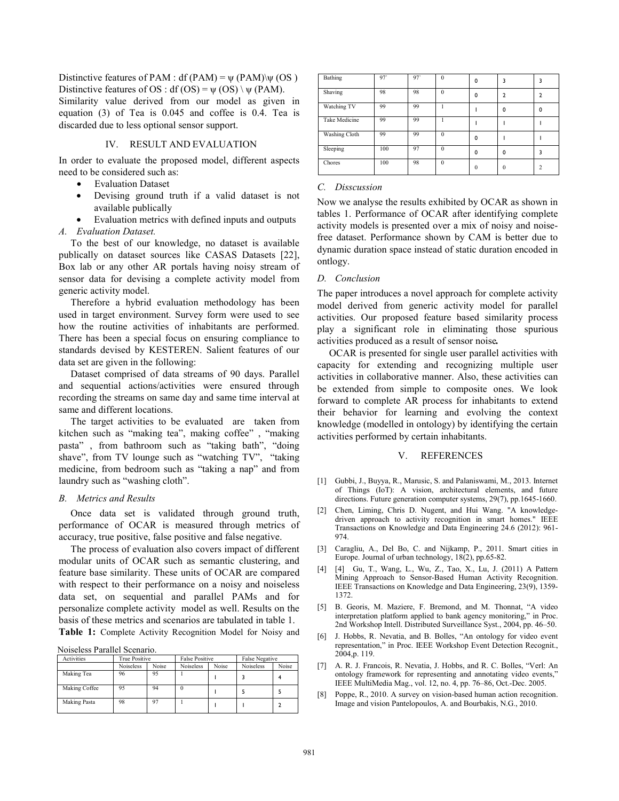Distinctive features of PAM : df (PAM) =  $\psi$  (PAM) $\psi$  (OS) Distinctive features of OS : df (OS) =  $\psi$  (OS) \  $\psi$  (PAM).

Similarity value derived from our model as given in equation (3) of Tea is 0.045 and coffee is 0.4. Tea is discarded due to less optional sensor support.

#### IV. RESULT AND EVALUATION

In order to evaluate the proposed model, different aspects need to be considered such as:

- **Evaluation Dataset**
- Devising ground truth if a valid dataset is not available publically
- Evaluation metrics with defined inputs and outputs

*A. Evaluation Dataset.*

To the best of our knowledge, no dataset is available publically on dataset sources like CASAS Datasets [22], Box lab or any other AR portals having noisy stream of sensor data for devising a complete activity model from generic activity model.

Therefore a hybrid evaluation methodology has been used in target environment. Survey form were used to see how the routine activities of inhabitants are performed. There has been a special focus on ensuring compliance to standards devised by KESTEREN. Salient features of our data set are given in the following:

Dataset comprised of data streams of 90 days. Parallel and sequential actions/activities were ensured through recording the streams on same day and same time interval at same and different locations.

The target activities to be evaluated are taken from kitchen such as "making tea", making coffee" , "making pasta" , from bathroom such as "taking bath", "doing shave", from TV lounge such as "watching TV", "taking medicine, from bedroom such as "taking a nap" and from laundry such as "washing cloth".

#### *B. Metrics and Results*

Once data set is validated through ground truth, performance of OCAR is measured through metrics of accuracy, true positive, false positive and false negative.

The process of evaluation also covers impact of different modular units of OCAR such as semantic clustering, and feature base similarity. These units of OCAR are compared with respect to their performance on a noisy and noiseless data set, on sequential and parallel PAMs and for personalize complete activity model as well. Results on the basis of these metrics and scenarios are tabulated in table 1. **Table 1:** Complete Activity Recognition Model for Noisy and

Noiseless Parallel Scenario.

| Activities    | True Positive    |       | <b>False Positive</b> |       | <b>False Negative</b> |       |
|---------------|------------------|-------|-----------------------|-------|-----------------------|-------|
|               | <b>Noiseless</b> | Noise | <b>Noiseless</b>      | Noise | <b>Noiseless</b>      | Noise |
| Making Tea    | 96               | 95    |                       |       |                       |       |
| Making Coffee | 95               | 94    | $\bf{0}$              |       |                       |       |
| Making Pasta  | 98               | 97    |                       |       |                       |       |

| Bathing       | 97  | 97 | $\theta$ | 0        |          |          |
|---------------|-----|----|----------|----------|----------|----------|
| Shaving       | 98  | 98 | $\theta$ | 0        |          |          |
| Watching TV   | 99  | 99 |          |          | ŋ        | $\Omega$ |
| Take Medicine | 99  | 99 |          |          |          |          |
| Washing Cloth | 99  | 99 | $\theta$ | 0        |          |          |
| Sleeping      | 100 | 97 | $\Omega$ | 0        | 0        |          |
| Chores        | 100 | 98 | $\theta$ | $\Omega$ | $\Omega$ | 2        |

#### *C. Disscussion*

Now we analyse the results exhibited by OCAR as shown in tables 1. Performance of OCAR after identifying complete activity models is presented over a mix of noisy and noisefree dataset. Performance shown by CAM is better due to dynamic duration space instead of static duration encoded in ontlogy.

#### *D. Conclusion*

The paper introduces a novel approach for complete activity model derived from generic activity model for parallel activities. Our proposed feature based similarity process play a significant role in eliminating those spurious activities produced as a result of sensor noise*.*

OCAR is presented for single user parallel activities with capacity for extending and recognizing multiple user activities in collaborative manner. Also, these activities can be extended from simple to composite ones. We look forward to complete AR process for inhabitants to extend their behavior for learning and evolving the context knowledge (modelled in ontology) by identifying the certain activities performed by certain inhabitants.

#### V. REFERENCES

- [1] Gubbi, J., Buyya, R., Marusic, S. and Palaniswami, M., 2013. Internet of Things (IoT): A vision, architectural elements, and future directions. Future generation computer systems, 29(7), pp.1645-1660.
- [2] Chen, Liming, Chris D. Nugent, and Hui Wang. "A knowledgedriven approach to activity recognition in smart homes." IEEE Transactions on Knowledge and Data Engineering 24.6 (2012): 961- 974.
- [3] Caragliu, A., Del Bo, C. and Nijkamp, P., 2011. Smart cities in Europe. Journal of urban technology, 18(2), pp.65-82.
- [4] [4] Gu, T., Wang, L., Wu, Z., Tao, X., Lu, J. (2011) A Pattern Mining Approach to Sensor-Based Human Activity Recognition. IEEE Transactions on Knowledge and Data Engineering, 23(9), 1359- 1372.
- [5] B. Georis, M. Maziere, F. Bremond, and M. Thonnat, "A video interpretation platform applied to bank agency monitoring," in Proc. 2nd Workshop Intell. Distributed Surveillance Syst., 2004, pp. 46–50.
- [6] J. Hobbs, R. Nevatia, and B. Bolles, "An ontology for video event representation," in Proc. IEEE Workshop Event Detection Recognit., 2004,p. 119.
- [7] A. R. J. Francois, R. Nevatia, J. Hobbs, and R. C. Bolles, "Verl: An ontology framework for representing and annotating video events," IEEE MultiMedia Mag., vol. 12, no. 4, pp. 76–86, Oct.-Dec. 2005.
- [8] Poppe, R., 2010. A survey on vision-based human action recognition. Image and vision Pantelopoulos, A. and Bourbakis, N.G., 2010.